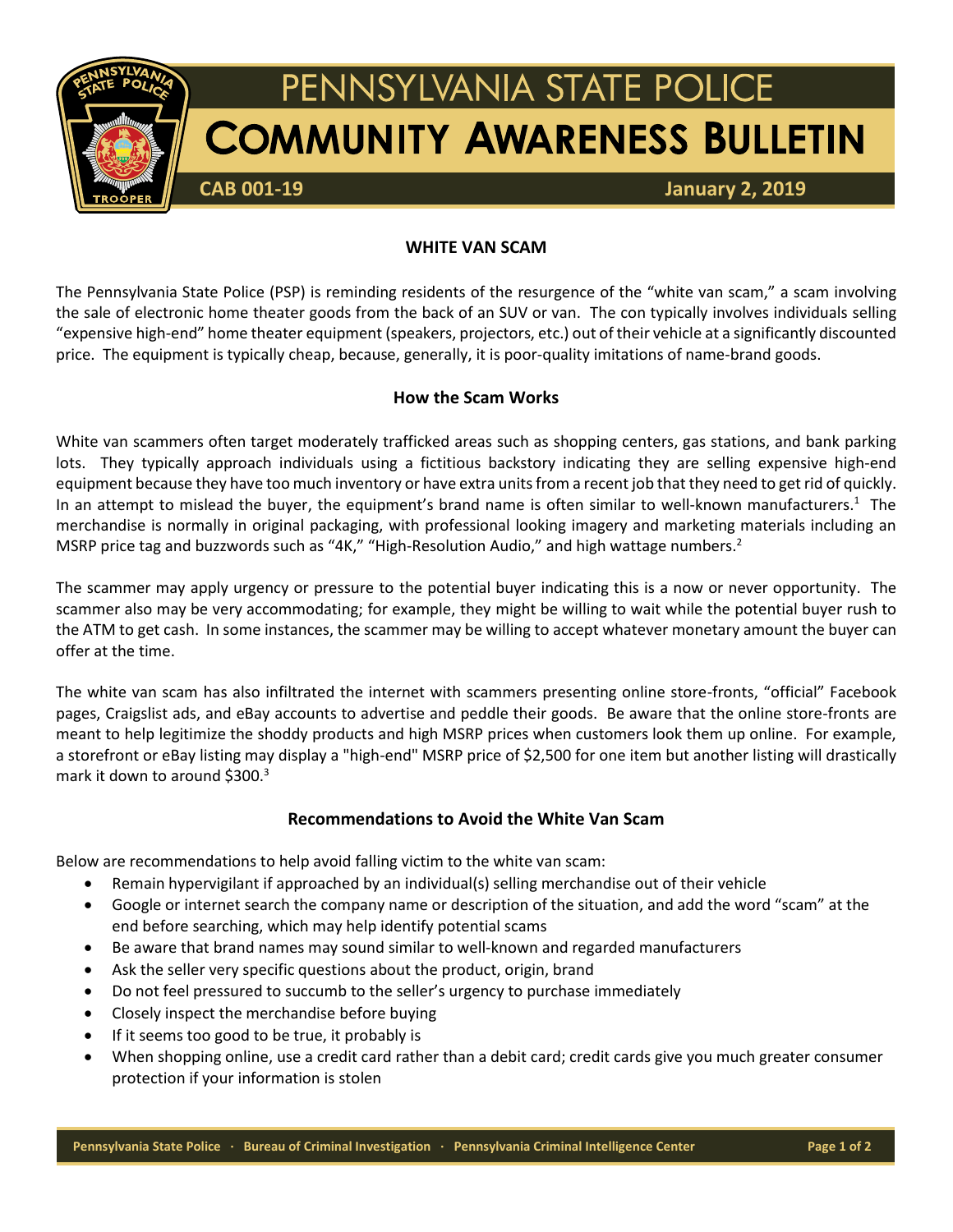

## **WHITE VAN SCAM**

The Pennsylvania State Police (PSP) is reminding residents of the resurgence of the "white van scam," a scam involving the sale of electronic home theater goods from the back of an SUV or van. The con typically involves individuals selling "expensive high-end" home theater equipment (speakers, projectors, etc.) out of their vehicle at a significantly discounted price. The equipment is typically cheap, because, generally, it is poor-quality imitations of name-brand goods.

## **How the Scam Works**

White van scammers often target moderately trafficked areas such as shopping centers, gas stations, and bank parking lots. They typically approach individuals using a fictitious backstory indicating they are selling expensive high-end equipment because they have too much inventory or have extra unitsfrom a recent job that they need to get rid of quickly. In an attempt to mislead the buyer, the equipment's brand name is often similar to well-known manufacturers.<sup>1</sup> The merchandise is normally in original packaging, with professional looking imagery and marketing materials including an MSRP price tag and buzzwords such as "4K," "High-Resolution Audio," and high wattage numbers.<sup>2</sup>

The scammer may apply urgency or pressure to the potential buyer indicating this is a now or never opportunity. The scammer also may be very accommodating; for example, they might be willing to wait while the potential buyer rush to the ATM to get cash. In some instances, the scammer may be willing to accept whatever monetary amount the buyer can offer at the time.

The white van scam has also infiltrated the internet with scammers presenting online store-fronts, "official" Facebook pages, Craigslist ads, and eBay accounts to advertise and peddle their goods. Be aware that the online store-fronts are meant to help legitimize the shoddy products and high MSRP prices when customers look them up online. For example, a storefront or eBay listing may display a "high-end" MSRP price of \$2,500 for one item but another listing will drastically mark it down to around \$300. $3$ 

## **Recommendations to Avoid the White Van Scam**

Below are recommendations to help avoid falling victim to the white van scam:

- Remain hypervigilant if approached by an individual(s) selling merchandise out of their vehicle
- Google or internet search the company name or description of the situation, and add the word "scam" at the end before searching, which may help identify potential scams
- Be aware that brand names may sound similar to well-known and regarded manufacturers
- Ask the seller very specific questions about the product, origin, brand
- Do not feel pressured to succumb to the seller's urgency to purchase immediately
- Closely inspect the merchandise before buying
- If it seems too good to be true, it probably is
- When shopping online, use a credit card rather than a debit card; credit cards give you much greater consumer protection if your information is stolen